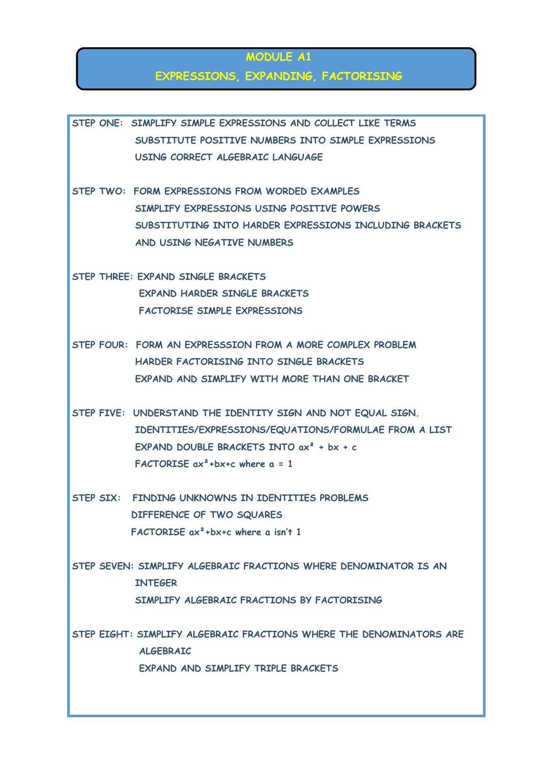#### **MODULE A1**

#### **EXPRESSIONS, EXPANDING, FACTORISING**

**STEP ONE: SIMPLIFY SIMPLE EXPRESSIONS AND COLLECT LIKE TERMS SUBSTITUTE POSITIVE NUMBERS INTO SIMPLE EXPRESSIONS USING CORRECT ALGEBRAIC LANGUAGE STEP TWO: FORM EXPRESSIONS FROM WORDED EXAMPLES SIMPLIFY EXPRESSIONS USING POSITIVE POWERS SUBSTITUTING INTO HARDER EXPRESSIONS INCLUDING BRACKETS AND USING NEGATIVE NUMBERS STEP THREE: EXPAND SINGLE BRACKETS EXPAND HARDER SINGLE BRACKETS FACTORISE SIMPLE EXPRESSIONS STEP FOUR: FORM AN EXPRESSSION FROM A MORE COMPLEX PROBLEM HARDER FACTORISING INTO SINGLE BRACKETS EXPAND AND SIMPLIFY WITH MORE THAN ONE BRACKET STEP FIVE: UNDERSTAND THE IDENTITY SIGN AND NOT EQUAL SIGN. IDENTITIES/EXPRESSIONS/EQUATIONS/FORMULAE FROM A LIST EXPAND DOUBLE BRACKETS INTO ax² + bx + c FACTORISE ax²+bx+c where a = 1 STEP SIX: FINDING UNKNOWNS IN IDENTITIES PROBLEMS DIFFERENCE OF TWO SQUARES FACTORISE ax²+bx+c where a isn't 1 STEP SEVEN: SIMPLIFY ALGEBRAIC FRACTIONS WHERE DENOMINATOR IS AN INTEGER SIMPLIFY ALGEBRAIC FRACTIONS BY FACTORISING STEP EIGHT: SIMPLIFY ALGEBRAIC FRACTIONS WHERE THE DENOMINATORS ARE ALGEBRAIC EXPAND AND SIMPLIFY TRIPLE BRACKETS**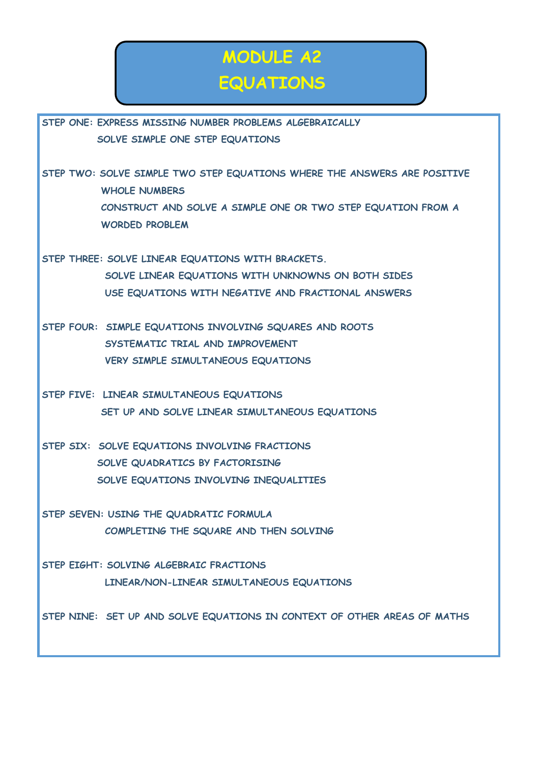### **MODULE A2 EQUATIONS**

**STEP ONE: EXPRESS MISSING NUMBER PROBLEMS ALGEBRAICALLY SOLVE SIMPLE ONE STEP EQUATIONS** 

**STEP TWO: SOLVE SIMPLE TWO STEP EQUATIONS WHERE THE ANSWERS ARE POSITIVE WHOLE NUMBERS CONSTRUCT AND SOLVE A SIMPLE ONE OR TWO STEP EQUATION FROM A WORDED PROBLEM** 

**STEP THREE: SOLVE LINEAR EQUATIONS WITH BRACKETS. SOLVE LINEAR EQUATIONS WITH UNKNOWNS ON BOTH SIDES USE EQUATIONS WITH NEGATIVE AND FRACTIONAL ANSWERS** 

**STEP FOUR: SIMPLE EQUATIONS INVOLVING SQUARES AND ROOTS SYSTEMATIC TRIAL AND IMPROVEMENT VERY SIMPLE SIMULTANEOUS EQUATIONS** 

**STEP FIVE: LINEAR SIMULTANEOUS EQUATIONS SET UP AND SOLVE LINEAR SIMULTANEOUS EQUATIONS** 

**STEP SIX: SOLVE EQUATIONS INVOLVING FRACTIONS SOLVE QUADRATICS BY FACTORISING SOLVE EQUATIONS INVOLVING INEQUALITIES** 

**STEP SEVEN: USING THE QUADRATIC FORMULA COMPLETING THE SQUARE AND THEN SOLVING** 

**STEP EIGHT: SOLVING ALGEBRAIC FRACTIONS LINEAR/NON-LINEAR SIMULTANEOUS EQUATIONS** 

**STEP NINE: SET UP AND SOLVE EQUATIONS IN CONTEXT OF OTHER AREAS OF MATHS**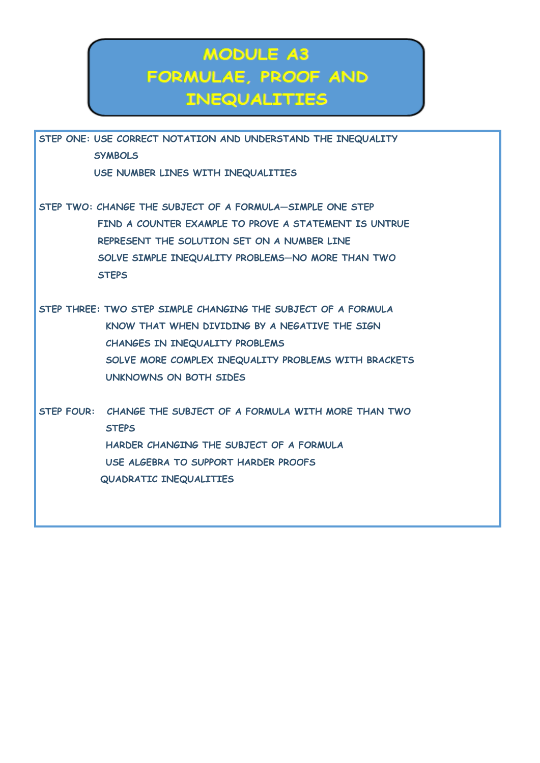### **MODULE A3** FORMULAE, PROOF AND **INEQUALITIES**

**STEP ONE: USE CORRECT NOTATION AND UNDERSTAND THE INEQUALITY SYMBOLS** 

 **USE NUMBER LINES WITH INEQUALITIES** 

**STEP TWO: CHANGE THE SUBJECT OF A FORMULA—SIMPLE ONE STEP**  FIND A COUNTER EXAMPLE TO PROVE A STATEMENT IS UNTRUE  **REPRESENT THE SOLUTION SET ON A NUMBER LINE SOLVE SIMPLE INEQUALITY PROBLEMS—NO MORE THAN TWO STEPS** 

**STEP THREE: TWO STEP SIMPLE CHANGING THE SUBJECT OF A FORMULA KNOW THAT WHEN DIVIDING BY A NEGATIVE THE SIGN CHANGES IN INEQUALITY PROBLEMS SOLVE MORE COMPLEX INEQUALITY PROBLEMS WITH BRACKETS UNKNOWNS ON BOTH SIDES** 

**STEP FOUR: CHANGE THE SUBJECT OF A FORMULA WITH MORE THAN TWO STEPS HARDER CHANGING THE SUBJECT OF A FORMULA USE ALGEBRA TO SUPPORT HARDER PROOFS QUADRATIC INEQUALITIES**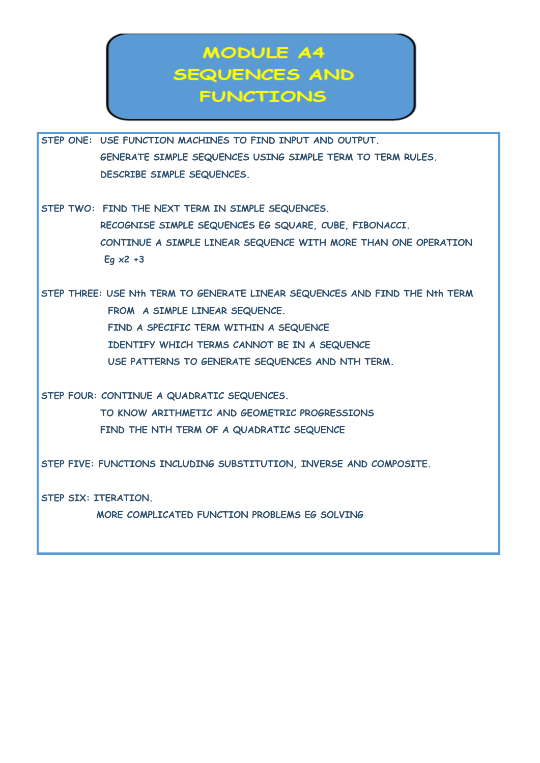### **MODULE A4 SEQUENCES AND FUNCTIONS**

**STEP ONE: USE FUNCTION MACHINES TO FIND INPUT AND OUTPUT. GENERATE SIMPLE SEQUENCES USING SIMPLE TERM TO TERM RULES. DESCRIBE SIMPLE SEQUENCES.** 

**STEP TWO: FIND THE NEXT TERM IN SIMPLE SEQUENCES. RECOGNISE SIMPLE SEQUENCES EG SQUARE, CUBE, FIBONACCI. CONTINUE A SIMPLE LINEAR SEQUENCE WITH MORE THAN ONE OPERATION Eg x2 +3** 

**STEP THREE: USE Nth TERM TO GENERATE LINEAR SEQUENCES AND FIND THE Nth TERM FROM A SIMPLE LINEAR SEQUENCE. FIND A SPECIFIC TERM WITHIN A SEQUENCE IDENTIFY WHICH TERMS CANNOT BE IN A SEQUENCE USE PATTERNS TO GENERATE SEQUENCES AND NTH TERM.** 

**STEP FOUR: CONTINUE A QUADRATIC SEQUENCES.** 

 **TO KNOW ARITHMETIC AND GEOMETRIC PROGRESSIONS FIND THE NTH TERM OF A QUADRATIC SEQUENCE** 

**STEP FIVE: FUNCTIONS INCLUDING SUBSTITUTION, INVERSE AND COMPOSITE.** 

**STEP SIX: ITERATION.** 

 **MORE COMPLICATED FUNCTION PROBLEMS EG SOLVING**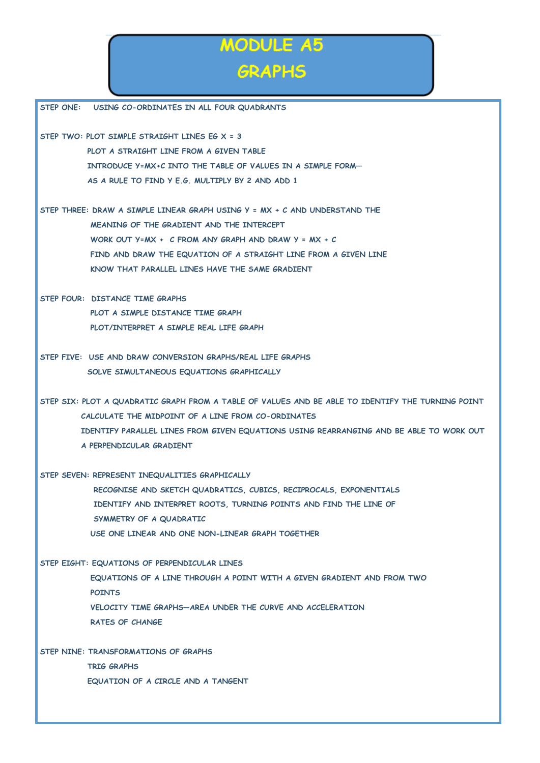## **MODULE A5 GRAPHS**

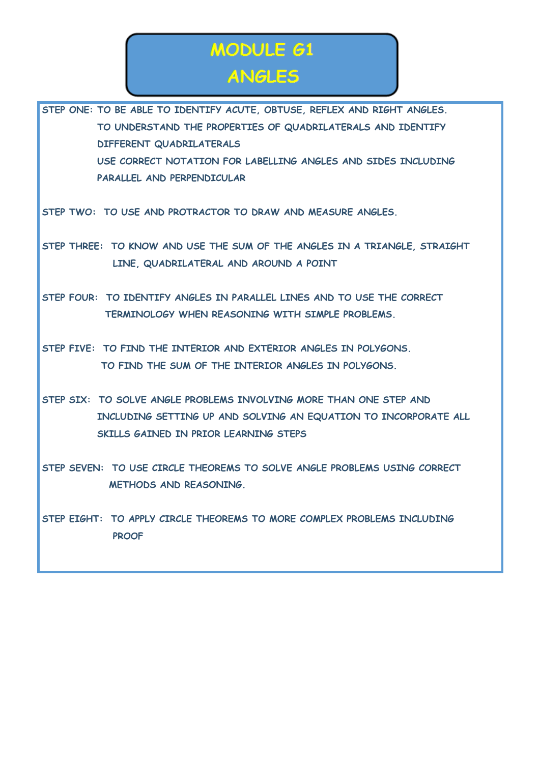### MODULE 61 **ANGLES**

**STEP ONE: TO BE ABLE TO IDENTIFY ACUTE, OBTUSE, REFLEX AND RIGHT ANGLES. TO UNDERSTAND THE PROPERTIES OF QUADRILATERALS AND IDENTIFY DIFFERENT QUADRILATERALS USE CORRECT NOTATION FOR LABELLING ANGLES AND SIDES INCLUDING PARALLEL AND PERPENDICULAR STEP TWO: TO USE AND PROTRACTOR TO DRAW AND MEASURE ANGLES. STEP THREE: TO KNOW AND USE THE SUM OF THE ANGLES IN A TRIANGLE, STRAIGHT LINE, QUADRILATERAL AND AROUND A POINT STEP FOUR: TO IDENTIFY ANGLES IN PARALLEL LINES AND TO USE THE CORRECT TERMINOLOGY WHEN REASONING WITH SIMPLE PROBLEMS. STEP FIVE: TO FIND THE INTERIOR AND EXTERIOR ANGLES IN POLYGONS.** 

**STEP SIX: TO SOLVE ANGLE PROBLEMS INVOLVING MORE THAN ONE STEP AND INCLUDING SETTING UP AND SOLVING AN EQUATION TO INCORPORATE ALL SKILLS GAINED IN PRIOR LEARNING STEPS** 

 **TO FIND THE SUM OF THE INTERIOR ANGLES IN POLYGONS.** 

**STEP SEVEN: TO USE CIRCLE THEOREMS TO SOLVE ANGLE PROBLEMS USING CORRECT METHODS AND REASONING.** 

**STEP EIGHT: TO APPLY CIRCLE THEOREMS TO MORE COMPLEX PROBLEMS INCLUDING PROOF**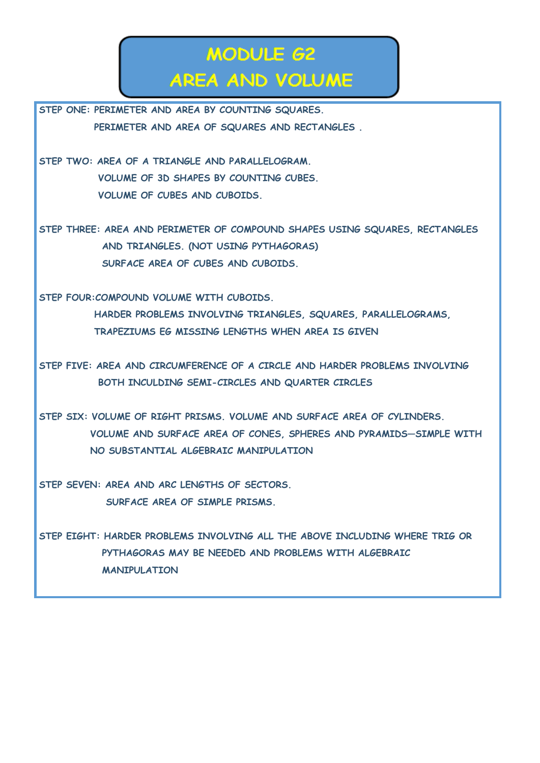### **MODULE 62 AREA AND VOLUME**

**STEP ONE: PERIMETER AND AREA BY COUNTING SQUARES. PERIMETER AND AREA OF SQUARES AND RECTANGLES .** 

**STEP TWO: AREA OF A TRIANGLE AND PARALLELOGRAM. VOLUME OF 3D SHAPES BY COUNTING CUBES. VOLUME OF CUBES AND CUBOIDS.** 

**STEP THREE: AREA AND PERIMETER OF COMPOUND SHAPES USING SQUARES, RECTANGLES AND TRIANGLES. (NOT USING PYTHAGORAS) SURFACE AREA OF CUBES AND CUBOIDS.** 

**STEP FOUR:COMPOUND VOLUME WITH CUBOIDS.** 

 **HARDER PROBLEMS INVOLVING TRIANGLES, SQUARES, PARALLELOGRAMS, TRAPEZIUMS EG MISSING LENGTHS WHEN AREA IS GIVEN** 

**STEP FIVE: AREA AND CIRCUMFERENCE OF A CIRCLE AND HARDER PROBLEMS INVOLVING BOTH INCULDING SEMI-CIRCLES AND QUARTER CIRCLES** 

**STEP SIX: VOLUME OF RIGHT PRISMS. VOLUME AND SURFACE AREA OF CYLINDERS. VOLUME AND SURFACE AREA OF CONES, SPHERES AND PYRAMIDS—SIMPLE WITH NO SUBSTANTIAL ALGEBRAIC MANIPULATION** 

**STEP SEVEN: AREA AND ARC LENGTHS OF SECTORS. SURFACE AREA OF SIMPLE PRISMS.** 

**STEP EIGHT: HARDER PROBLEMS INVOLVING ALL THE ABOVE INCLUDING WHERE TRIG OR PYTHAGORAS MAY BE NEEDED AND PROBLEMS WITH ALGEBRAIC MANIPULATION**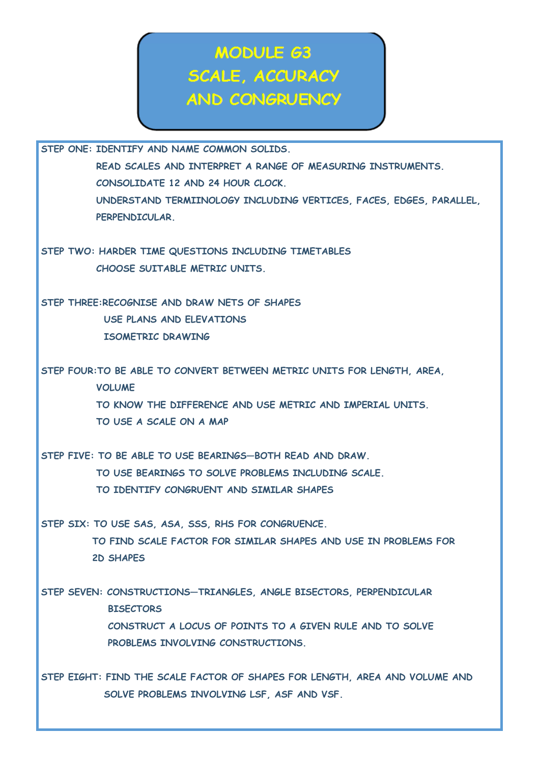MODULE 63 **SCALE, ACCURACY AND CONGRUENCY** 

**STEP ONE: IDENTIFY AND NAME COMMON SOLIDS. READ SCALES AND INTERPRET A RANGE OF MEASURING INSTRUMENTS. CONSOLIDATE 12 AND 24 HOUR CLOCK. UNDERSTAND TERMIINOLOGY INCLUDING VERTICES, FACES, EDGES, PARALLEL, PERPENDICULAR.** 

**STEP TWO: HARDER TIME QUESTIONS INCLUDING TIMETABLES CHOOSE SUITABLE METRIC UNITS.** 

**STEP THREE:RECOGNISE AND DRAW NETS OF SHAPES USE PLANS AND ELEVATIONS ISOMETRIC DRAWING** 

**STEP FOUR:TO BE ABLE TO CONVERT BETWEEN METRIC UNITS FOR LENGTH, AREA, VOLUME TO KNOW THE DIFFERENCE AND USE METRIC AND IMPERIAL UNITS. TO USE A SCALE ON A MAP** 

**STEP FIVE: TO BE ABLE TO USE BEARINGS—BOTH READ AND DRAW. TO USE BEARINGS TO SOLVE PROBLEMS INCLUDING SCALE. TO IDENTIFY CONGRUENT AND SIMILAR SHAPES** 

**STEP SIX: TO USE SAS, ASA, SSS, RHS FOR CONGRUENCE. TO FIND SCALE FACTOR FOR SIMILAR SHAPES AND USE IN PROBLEMS FOR 2D SHAPES** 

**STEP SEVEN: CONSTRUCTIONS—TRIANGLES, ANGLE BISECTORS, PERPENDICULAR BISECTORS CONSTRUCT A LOCUS OF POINTS TO A GIVEN RULE AND TO SOLVE PROBLEMS INVOLVING CONSTRUCTIONS.** 

**STEP EIGHT: FIND THE SCALE FACTOR OF SHAPES FOR LENGTH, AREA AND VOLUME AND SOLVE PROBLEMS INVOLVING LSF, ASF AND VSF.**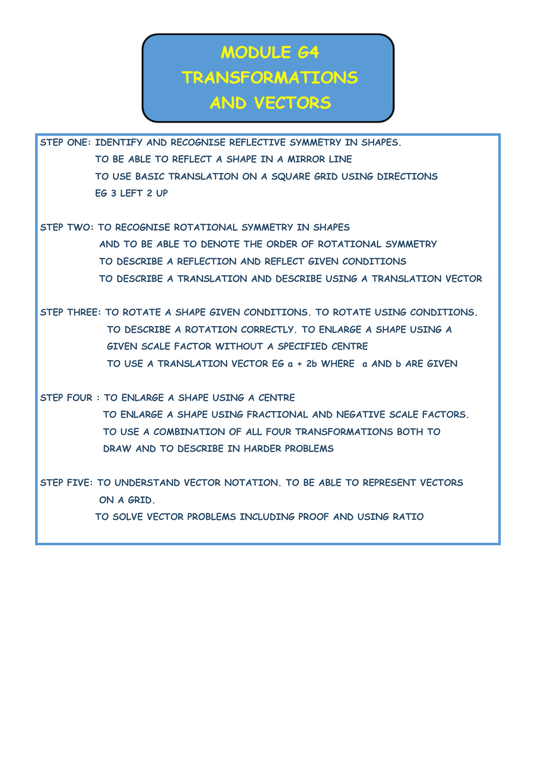### **MODULE 64 TRANSFORMATIONS AND VECTORS**

**STEP ONE: IDENTIFY AND RECOGNISE REFLECTIVE SYMMETRY IN SHAPES. TO BE ABLE TO REFLECT A SHAPE IN A MIRROR LINE TO USE BASIC TRANSLATION ON A SQUARE GRID USING DIRECTIONS EG 3 LEFT 2 UP** 

**STEP TWO: TO RECOGNISE ROTATIONAL SYMMETRY IN SHAPES AND TO BE ABLE TO DENOTE THE ORDER OF ROTATIONAL SYMMETRY TO DESCRIBE A REFLECTION AND REFLECT GIVEN CONDITIONS TO DESCRIBE A TRANSLATION AND DESCRIBE USING A TRANSLATION VECTOR** 

**STEP THREE: TO ROTATE A SHAPE GIVEN CONDITIONS. TO ROTATE USING CONDITIONS. TO DESCRIBE A ROTATION CORRECTLY. TO ENLARGE A SHAPE USING A GIVEN SCALE FACTOR WITHOUT A SPECIFIED CENTRE TO USE A TRANSLATION VECTOR EG a + 2b WHERE a AND b ARE GIVEN** 

**STEP FOUR : TO ENLARGE A SHAPE USING A CENTRE** 

 **TO ENLARGE A SHAPE USING FRACTIONAL AND NEGATIVE SCALE FACTORS. TO USE A COMBINATION OF ALL FOUR TRANSFORMATIONS BOTH TO DRAW AND TO DESCRIBE IN HARDER PROBLEMS** 

**STEP FIVE: TO UNDERSTAND VECTOR NOTATION. TO BE ABLE TO REPRESENT VECTORS ON A GRID. TO SOLVE VECTOR PROBLEMS INCLUDING PROOF AND USING RATIO**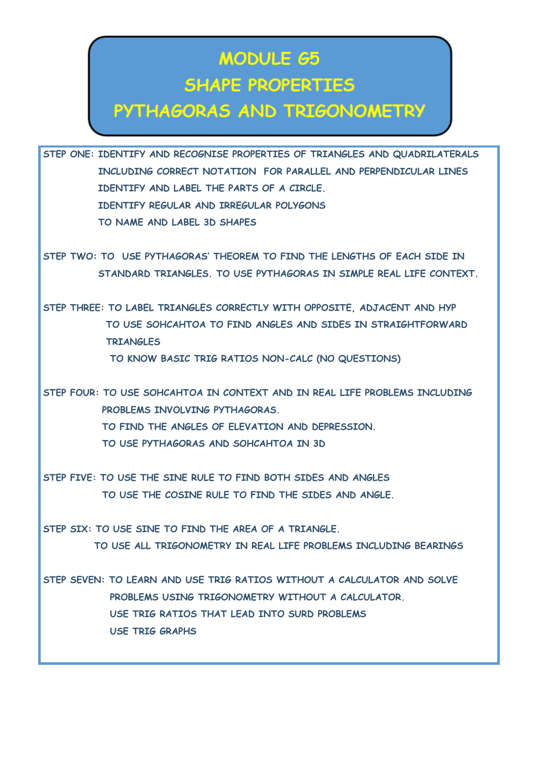# **MODULE 65 SHAPE PROPERTIES**

#### PYTHAGORAS AND TRIGONOMETRY

**STEP ONE: IDENTIFY AND RECOGNISE PROPERTIES OF TRIANGLES AND QUADRILATERALS INCLUDING CORRECT NOTATION FOR PARALLEL AND PERPENDICULAR LINES IDENTIFY AND LABEL THE PARTS OF A CIRCLE. IDENTIFY REGULAR AND IRREGULAR POLYGONS TO NAME AND LABEL 3D SHAPES** 

**STEP TWO: TO USE PYTHAGORAS' THEOREM TO FIND THE LENGTHS OF EACH SIDE IN STANDARD TRIANGLES. TO USE PYTHAGORAS IN SIMPLE REAL LIFE CONTEXT.** 

**STEP THREE: TO LABEL TRIANGLES CORRECTLY WITH OPPOSITE, ADJACENT AND HYP TO USE SOHCAHTOA TO FIND ANGLES AND SIDES IN STRAIGHTFORWARD TRIANGLES TO KNOW BASIC TRIG RATIOS NON-CALC (NO QUESTIONS)** 

**STEP FOUR: TO USE SOHCAHTOA IN CONTEXT AND IN REAL LIFE PROBLEMS INCLUDING PROBLEMS INVOLVING PYTHAGORAS. TO FIND THE ANGLES OF ELEVATION AND DEPRESSION. TO USE PYTHAGORAS AND SOHCAHTOA IN 3D** 

**STEP FIVE: TO USE THE SINE RULE TO FIND BOTH SIDES AND ANGLES TO USE THE COSINE RULE TO FIND THE SIDES AND ANGLE.** 

**STEP SIX: TO USE SINE TO FIND THE AREA OF A TRIANGLE. TO USE ALL TRIGONOMETRY IN REAL LIFE PROBLEMS INCLUDING BEARINGS** 

**STEP SEVEN: TO LEARN AND USE TRIG RATIOS WITHOUT A CALCULATOR AND SOLVE PROBLEMS USING TRIGONOMETRY WITHOUT A CALCULATOR. USE TRIG RATIOS THAT LEAD INTO SURD PROBLEMS USE TRIG GRAPHS**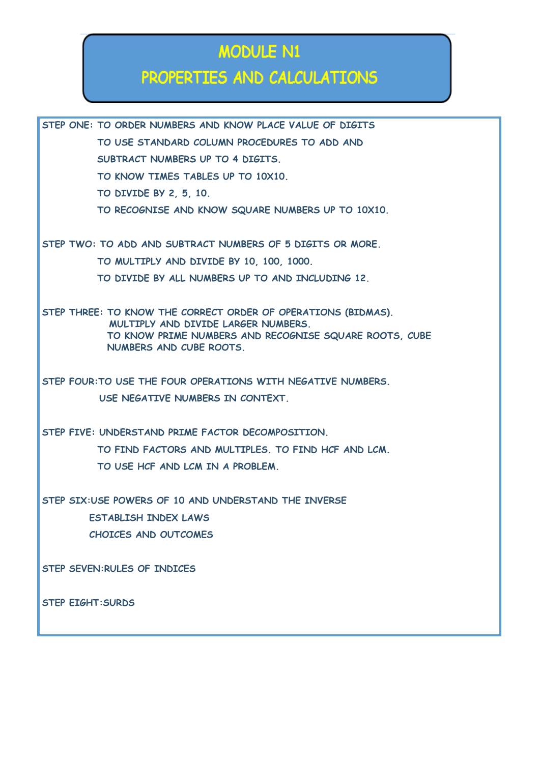### **MODULE N1**

#### PROPERTIES AND CALCULATIONS

**STEP ONE: TO ORDER NUMBERS AND KNOW PLACE VALUE OF DIGITS TO USE STANDARD COLUMN PROCEDURES TO ADD AND SUBTRACT NUMBERS UP TO 4 DIGITS. TO KNOW TIMES TABLES UP TO 10X10. TO DIVIDE BY 2, 5, 10. TO RECOGNISE AND KNOW SQUARE NUMBERS UP TO 10X10. STEP TWO: TO ADD AND SUBTRACT NUMBERS OF 5 DIGITS OR MORE. TO MULTIPLY AND DIVIDE BY 10, 100, 1000. TO DIVIDE BY ALL NUMBERS UP TO AND INCLUDING 12. STEP THREE: TO KNOW THE CORRECT ORDER OF OPERATIONS (BIDMAS). MULTIPLY AND DIVIDE LARGER NUMBERS. TO KNOW PRIME NUMBERS AND RECOGNISE SQUARE ROOTS, CUBE NUMBERS AND CUBE ROOTS.** 

**STEP FOUR:TO USE THE FOUR OPERATIONS WITH NEGATIVE NUMBERS. USE NEGATIVE NUMBERS IN CONTEXT.** 

**STEP FIVE: UNDERSTAND PRIME FACTOR DECOMPOSITION. TO FIND FACTORS AND MULTIPLES. TO FIND HCF AND LCM. TO USE HCF AND LCM IN A PROBLEM.** 

**STEP SIX:USE POWERS OF 10 AND UNDERSTAND THE INVERSE ESTABLISH INDEX LAWS CHOICES AND OUTCOMES** 

**STEP SEVEN:RULES OF INDICES** 

**STEP EIGHT:SURDS**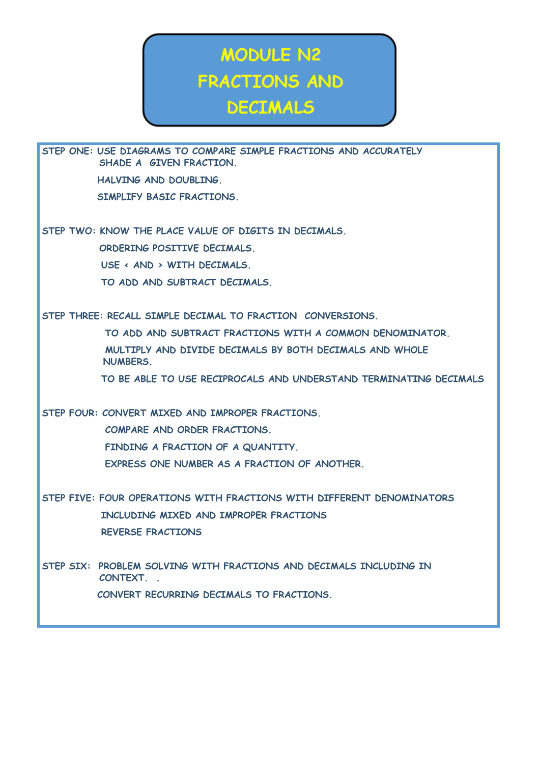# **MODULE N2 FRACTIONS AND DECIMALS**

**STEP ONE: USE DIAGRAMS TO COMPARE SIMPLE FRACTIONS AND ACCURATELY SHADE A GIVEN FRACTION. HALVING AND DOUBLING. SIMPLIFY BASIC FRACTIONS. STEP TWO: KNOW THE PLACE VALUE OF DIGITS IN DECIMALS. ORDERING POSITIVE DECIMALS. USE < AND > WITH DECIMALS. TO ADD AND SUBTRACT DECIMALS. STEP THREE: RECALL SIMPLE DECIMAL TO FRACTION CONVERSIONS. TO ADD AND SUBTRACT FRACTIONS WITH A COMMON DENOMINATOR. MULTIPLY AND DIVIDE DECIMALS BY BOTH DECIMALS AND WHOLE NUMBERS. TO BE ABLE TO USE RECIPROCALS AND UNDERSTAND TERMINATING DECIMALS STEP FOUR: CONVERT MIXED AND IMPROPER FRACTIONS. COMPARE AND ORDER FRACTIONS. FINDING A FRACTION OF A QUANTITY. EXPRESS ONE NUMBER AS A FRACTION OF ANOTHER. STEP FIVE: FOUR OPERATIONS WITH FRACTIONS WITH DIFFERENT DENOMINATORS INCLUDING MIXED AND IMPROPER FRACTIONS REVERSE FRACTIONS STEP SIX: PROBLEM SOLVING WITH FRACTIONS AND DECIMALS INCLUDING IN CONTEXT. . CONVERT RECURRING DECIMALS TO FRACTIONS.**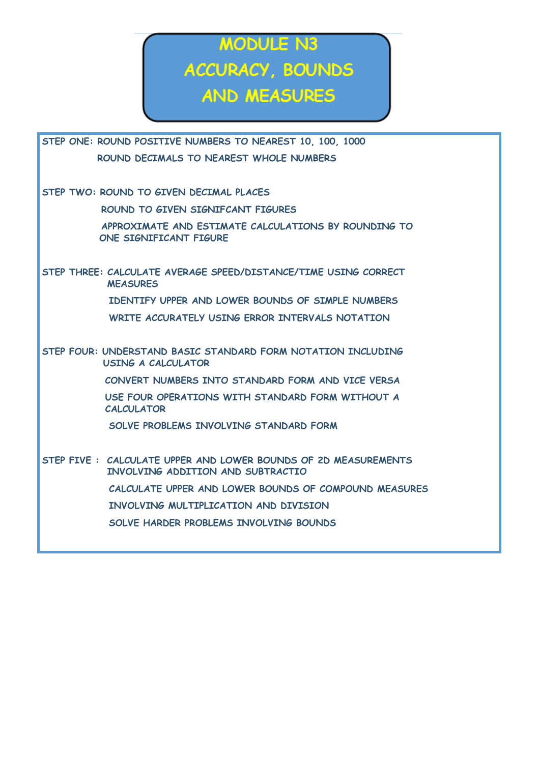MODULE N3 ACCURACY, BOUNDS AND MEASURES

| STEP ONE: ROUND POSITIVE NUMBERS TO NEAREST 10, 100, 1000                                           |
|-----------------------------------------------------------------------------------------------------|
| ROUND DECIMALS TO NEAREST WHOLE NUMBERS                                                             |
|                                                                                                     |
| STEP TWO: ROUND TO GIVEN DECIMAL PLACES                                                             |
| ROUND TO GIVEN SIGNIFCANT FIGURES                                                                   |
| APPROXIMATE AND ESTIMATE CALCULATIONS BY ROUNDING TO<br>ONE SIGNIFICANT FIGURE                      |
| STEP THREE: CALCULATE AVERAGE SPEED/DISTANCE/TIME USING CORRECT<br><b>MEASURES</b>                  |
| IDENTIFY UPPER AND LOWER BOUNDS OF SIMPLE NUMBERS                                                   |
| WRITE ACCURATELY USING ERROR INTERVALS NOTATION                                                     |
|                                                                                                     |
| STEP FOUR: UNDERSTAND BASIC STANDARD FORM NOTATION INCLUDING<br><b>USING A CALCULATOR</b>           |
| CONVERT NUMBERS INTO STANDARD FORM AND VICE VERSA                                                   |
| USE FOUR OPERATIONS WITH STANDARD FORM WITHOUT A<br><b>CALCULATOR</b>                               |
| SOLVE PROBLEMS INVOLVING STANDARD FORM                                                              |
| STEP FIVE: CALCULATE UPPER AND LOWER BOUNDS OF 2D MEASUREMENTS<br>INVOLVING ADDITION AND SUBTRACTIO |
| CALCULATE UPPER AND LOWER BOUNDS OF COMPOUND MEASURES                                               |
| INVOLVING MULTIPLICATION AND DIVISION                                                               |
| SOLVE HARDER PROBLEMS INVOLVING BOUNDS                                                              |
|                                                                                                     |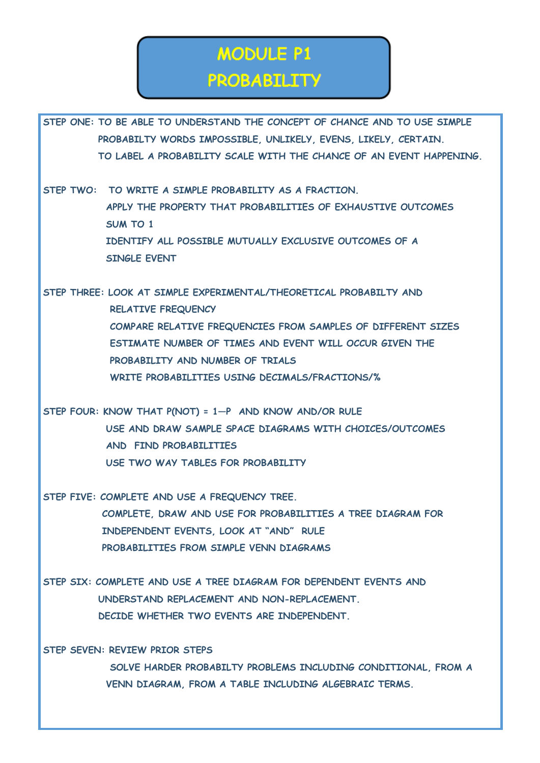### **MODULE P1 PROBABILITY**

**STEP ONE: TO BE ABLE TO UNDERSTAND THE CONCEPT OF CHANCE AND TO USE SIMPLE PROBABILTY WORDS IMPOSSIBLE, UNLIKELY, EVENS, LIKELY, CERTAIN. TO LABEL A PROBABILITY SCALE WITH THE CHANCE OF AN EVENT HAPPENING. STEP TWO: TO WRITE A SIMPLE PROBABILITY AS A FRACTION. APPLY THE PROPERTY THAT PROBABILITIES OF EXHAUSTIVE OUTCOMES SUM TO 1 IDENTIFY ALL POSSIBLE MUTUALLY EXCLUSIVE OUTCOMES OF A SINGLE EVENT STEP THREE: LOOK AT SIMPLE EXPERIMENTAL/THEORETICAL PROBABILTY AND RELATIVE FREQUENCY COMPARE RELATIVE FREQUENCIES FROM SAMPLES OF DIFFERENT SIZES ESTIMATE NUMBER OF TIMES AND EVENT WILL OCCUR GIVEN THE PROBABILITY AND NUMBER OF TRIALS WRITE PROBABILITIES USING DECIMALS/FRACTIONS/% STEP FOUR: KNOW THAT P(NOT) = 1—P AND KNOW AND/OR RULE USE AND DRAW SAMPLE SPACE DIAGRAMS WITH CHOICES/OUTCOMES AND FIND PROBABILITIES USE TWO WAY TABLES FOR PROBABILITY STEP FIVE: COMPLETE AND USE A FREQUENCY TREE. COMPLETE, DRAW AND USE FOR PROBABILITIES A TREE DIAGRAM FOR INDEPENDENT EVENTS, LOOK AT "AND" RULE PROBABILITIES FROM SIMPLE VENN DIAGRAMS STEP SIX: COMPLETE AND USE A TREE DIAGRAM FOR DEPENDENT EVENTS AND UNDERSTAND REPLACEMENT AND NON-REPLACEMENT. DECIDE WHETHER TWO EVENTS ARE INDEPENDENT. STEP SEVEN: REVIEW PRIOR STEPS SOLVE HARDER PROBABILTY PROBLEMS INCLUDING CONDITIONAL, FROM A VENN DIAGRAM, FROM A TABLE INCLUDING ALGEBRAIC TERMS.**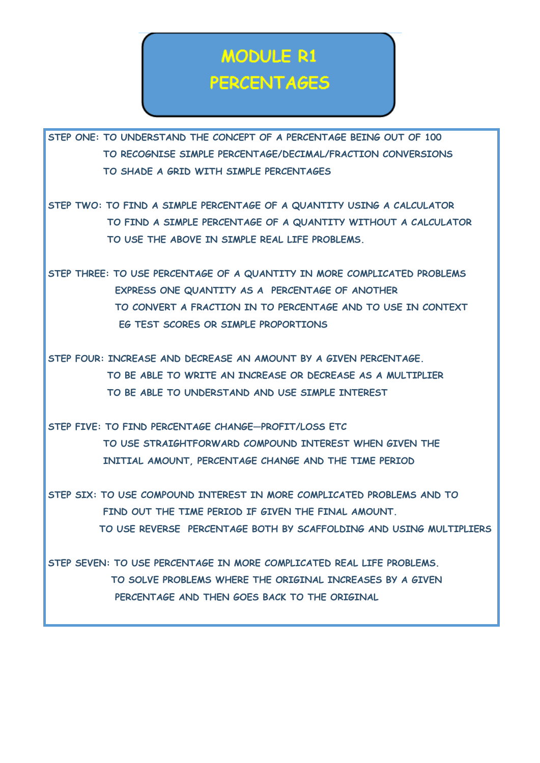### **MODULE R1 PERCENTAGES**

**STEP ONE: TO UNDERSTAND THE CONCEPT OF A PERCENTAGE BEING OUT OF 100 TO RECOGNISE SIMPLE PERCENTAGE/DECIMAL/FRACTION CONVERSIONS TO SHADE A GRID WITH SIMPLE PERCENTAGES** 

**STEP TWO: TO FIND A SIMPLE PERCENTAGE OF A QUANTITY USING A CALCULATOR TO FIND A SIMPLE PERCENTAGE OF A QUANTITY WITHOUT A CALCULATOR TO USE THE ABOVE IN SIMPLE REAL LIFE PROBLEMS.** 

**STEP THREE: TO USE PERCENTAGE OF A QUANTITY IN MORE COMPLICATED PROBLEMS EXPRESS ONE QUANTITY AS A PERCENTAGE OF ANOTHER TO CONVERT A FRACTION IN TO PERCENTAGE AND TO USE IN CONTEXT EG TEST SCORES OR SIMPLE PROPORTIONS** 

**STEP FOUR: INCREASE AND DECREASE AN AMOUNT BY A GIVEN PERCENTAGE. TO BE ABLE TO WRITE AN INCREASE OR DECREASE AS A MULTIPLIER TO BE ABLE TO UNDERSTAND AND USE SIMPLE INTEREST** 

**STEP FIVE: TO FIND PERCENTAGE CHANGE—PROFIT/LOSS ETC TO USE STRAIGHTFORWARD COMPOUND INTEREST WHEN GIVEN THE INITIAL AMOUNT, PERCENTAGE CHANGE AND THE TIME PERIOD** 

**STEP SIX: TO USE COMPOUND INTEREST IN MORE COMPLICATED PROBLEMS AND TO FIND OUT THE TIME PERIOD IF GIVEN THE FINAL AMOUNT. TO USE REVERSE PERCENTAGE BOTH BY SCAFFOLDING AND USING MULTIPLIERS** 

**STEP SEVEN: TO USE PERCENTAGE IN MORE COMPLICATED REAL LIFE PROBLEMS. TO SOLVE PROBLEMS WHERE THE ORIGINAL INCREASES BY A GIVEN PERCENTAGE AND THEN GOES BACK TO THE ORIGINAL**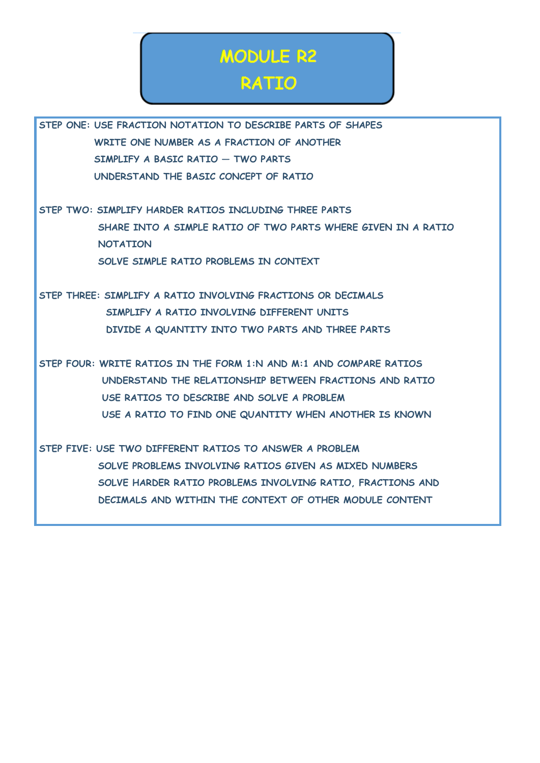# **MODULE R2**

#### **RATIO**

**STEP ONE: USE FRACTION NOTATION TO DESCRIBE PARTS OF SHAPES WRITE ONE NUMBER AS A FRACTION OF ANOTHER SIMPLIFY A BASIC RATIO — TWO PARTS UNDERSTAND THE BASIC CONCEPT OF RATIO** 

**STEP TWO: SIMPLIFY HARDER RATIOS INCLUDING THREE PARTS SHARE INTO A SIMPLE RATIO OF TWO PARTS WHERE GIVEN IN A RATIO NOTATION SOLVE SIMPLE RATIO PROBLEMS IN CONTEXT** 

**STEP THREE: SIMPLIFY A RATIO INVOLVING FRACTIONS OR DECIMALS SIMPLIFY A RATIO INVOLVING DIFFERENT UNITS DIVIDE A QUANTITY INTO TWO PARTS AND THREE PARTS** 

**STEP FOUR: WRITE RATIOS IN THE FORM 1:N AND M:1 AND COMPARE RATIOS UNDERSTAND THE RELATIONSHIP BETWEEN FRACTIONS AND RATIO USE RATIOS TO DESCRIBE AND SOLVE A PROBLEM USE A RATIO TO FIND ONE QUANTITY WHEN ANOTHER IS KNOWN** 

**STEP FIVE: USE TWO DIFFERENT RATIOS TO ANSWER A PROBLEM SOLVE PROBLEMS INVOLVING RATIOS GIVEN AS MIXED NUMBERS SOLVE HARDER RATIO PROBLEMS INVOLVING RATIO, FRACTIONS AND DECIMALS AND WITHIN THE CONTEXT OF OTHER MODULE CONTENT**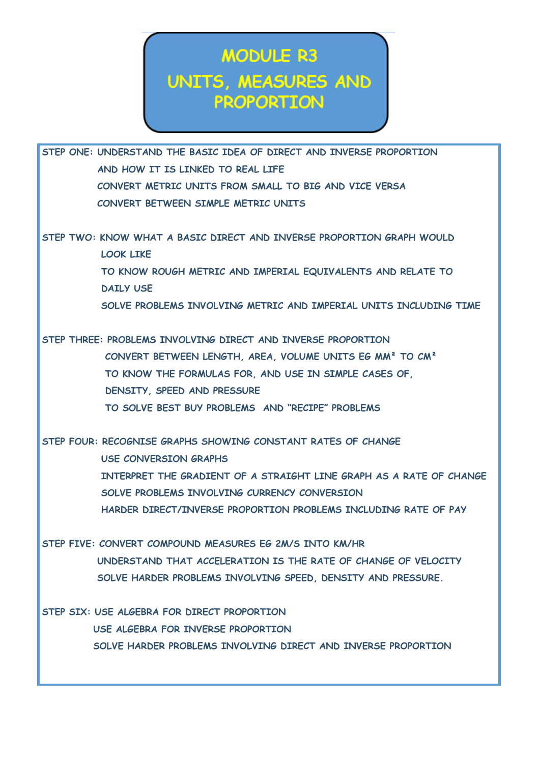### **MODULE R3** UNITS, MEASURES AND **PROPORTION**

**STEP ONE: UNDERSTAND THE BASIC IDEA OF DIRECT AND INVERSE PROPORTION AND HOW IT IS LINKED TO REAL LIFE CONVERT METRIC UNITS FROM SMALL TO BIG AND VICE VERSA CONVERT BETWEEN SIMPLE METRIC UNITS** 

**STEP TWO: KNOW WHAT A BASIC DIRECT AND INVERSE PROPORTION GRAPH WOULD LOOK LIKE TO KNOW ROUGH METRIC AND IMPERIAL EQUIVALENTS AND RELATE TO DAILY USE SOLVE PROBLEMS INVOLVING METRIC AND IMPERIAL UNITS INCLUDING TIME** 

**STEP THREE: PROBLEMS INVOLVING DIRECT AND INVERSE PROPORTION CONVERT BETWEEN LENGTH, AREA, VOLUME UNITS EG MM² TO CM² TO KNOW THE FORMULAS FOR, AND USE IN SIMPLE CASES OF, DENSITY, SPEED AND PRESSURE TO SOLVE BEST BUY PROBLEMS AND "RECIPE" PROBLEMS** 

**STEP FOUR: RECOGNISE GRAPHS SHOWING CONSTANT RATES OF CHANGE USE CONVERSION GRAPHS INTERPRET THE GRADIENT OF A STRAIGHT LINE GRAPH AS A RATE OF CHANGE SOLVE PROBLEMS INVOLVING CURRENCY CONVERSION HARDER DIRECT/INVERSE PROPORTION PROBLEMS INCLUDING RATE OF PAY** 

**STEP FIVE: CONVERT COMPOUND MEASURES EG 2M/S INTO KM/HR UNDERSTAND THAT ACCELERATION IS THE RATE OF CHANGE OF VELOCITY SOLVE HARDER PROBLEMS INVOLVING SPEED, DENSITY AND PRESSURE.** 

**STEP SIX: USE ALGEBRA FOR DIRECT PROPORTION USE ALGEBRA FOR INVERSE PROPORTION SOLVE HARDER PROBLEMS INVOLVING DIRECT AND INVERSE PROPORTION**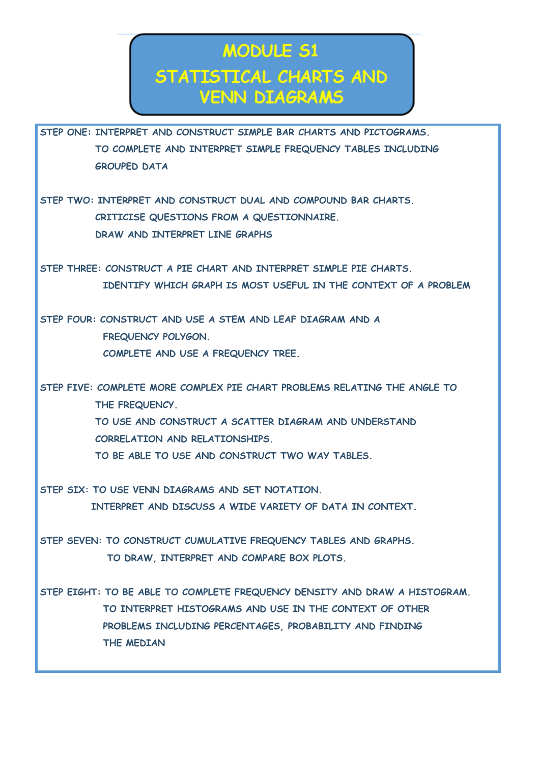### **MODULE 51** STATISTICAL CHARTS AND **VENN DIAGRAMS**

**STEP ONE: INTERPRET AND CONSTRUCT SIMPLE BAR CHARTS AND PICTOGRAMS. TO COMPLETE AND INTERPRET SIMPLE FREQUENCY TABLES INCLUDING GROUPED DATA** 

**STEP TWO: INTERPRET AND CONSTRUCT DUAL AND COMPOUND BAR CHARTS. CRITICISE QUESTIONS FROM A QUESTIONNAIRE. DRAW AND INTERPRET LINE GRAPHS** 

**STEP THREE: CONSTRUCT A PIE CHART AND INTERPRET SIMPLE PIE CHARTS. IDENTIFY WHICH GRAPH IS MOST USEFUL IN THE CONTEXT OF A PROBLEM** 

**STEP FOUR: CONSTRUCT AND USE A STEM AND LEAF DIAGRAM AND A FREQUENCY POLYGON. COMPLETE AND USE A FREQUENCY TREE.** 

**STEP FIVE: COMPLETE MORE COMPLEX PIE CHART PROBLEMS RELATING THE ANGLE TO THE FREQUENCY. TO USE AND CONSTRUCT A SCATTER DIAGRAM AND UNDERSTAND CORRELATION AND RELATIONSHIPS. TO BE ABLE TO USE AND CONSTRUCT TWO WAY TABLES.** 

**STEP SIX: TO USE VENN DIAGRAMS AND SET NOTATION. INTERPRET AND DISCUSS A WIDE VARIETY OF DATA IN CONTEXT.** 

**STEP SEVEN: TO CONSTRUCT CUMULATIVE FREQUENCY TABLES AND GRAPHS. TO DRAW, INTERPRET AND COMPARE BOX PLOTS.** 

**STEP EIGHT: TO BE ABLE TO COMPLETE FREQUENCY DENSITY AND DRAW A HISTOGRAM. TO INTERPRET HISTOGRAMS AND USE IN THE CONTEXT OF OTHER PROBLEMS INCLUDING PERCENTAGES, PROBABILITY AND FINDING THE MEDIAN**